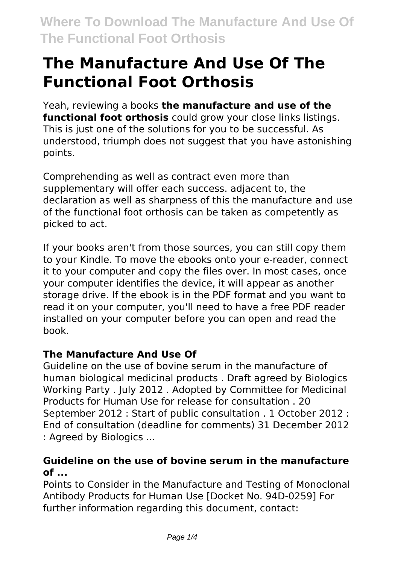# **The Manufacture And Use Of The Functional Foot Orthosis**

Yeah, reviewing a books **the manufacture and use of the functional foot orthosis** could grow your close links listings. This is just one of the solutions for you to be successful. As understood, triumph does not suggest that you have astonishing points.

Comprehending as well as contract even more than supplementary will offer each success. adjacent to, the declaration as well as sharpness of this the manufacture and use of the functional foot orthosis can be taken as competently as picked to act.

If your books aren't from those sources, you can still copy them to your Kindle. To move the ebooks onto your e-reader, connect it to your computer and copy the files over. In most cases, once your computer identifies the device, it will appear as another storage drive. If the ebook is in the PDF format and you want to read it on your computer, you'll need to have a free PDF reader installed on your computer before you can open and read the book.

### **The Manufacture And Use Of**

Guideline on the use of bovine serum in the manufacture of human biological medicinal products . Draft agreed by Biologics Working Party . July 2012 . Adopted by Committee for Medicinal Products for Human Use for release for consultation . 20 September 2012 : Start of public consultation . 1 October 2012 : End of consultation (deadline for comments) 31 December 2012 : Agreed by Biologics ...

### **Guideline on the use of bovine serum in the manufacture of ...**

Points to Consider in the Manufacture and Testing of Monoclonal Antibody Products for Human Use [Docket No. 94D-0259] For further information regarding this document, contact: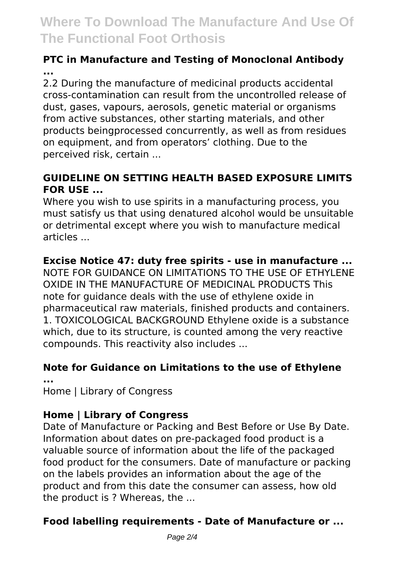# **Where To Download The Manufacture And Use Of The Functional Foot Orthosis**

### **PTC in Manufacture and Testing of Monoclonal Antibody ...**

2.2 During the manufacture of medicinal products accidental cross-contamination can result from the uncontrolled release of dust, gases, vapours, aerosols, genetic material or organisms from active substances, other starting materials, and other products beingprocessed concurrently, as well as from residues on equipment, and from operators' clothing. Due to the perceived risk, certain ...

### **GUIDELINE ON SETTING HEALTH BASED EXPOSURE LIMITS FOR USE ...**

Where you wish to use spirits in a manufacturing process, you must satisfy us that using denatured alcohol would be unsuitable or detrimental except where you wish to manufacture medical articles ...

### **Excise Notice 47: duty free spirits - use in manufacture ...**

NOTE FOR GUIDANCE ON LIMITATIONS TO THE USE OF ETHYLENE OXIDE IN THE MANUFACTURE OF MEDICINAL PRODUCTS This note for guidance deals with the use of ethylene oxide in pharmaceutical raw materials, finished products and containers. 1. TOXICOLOGICAL BACKGROUND Ethylene oxide is a substance which, due to its structure, is counted among the very reactive compounds. This reactivity also includes ...

### **Note for Guidance on Limitations to the use of Ethylene**

**...** Home | Library of Congress

### **Home | Library of Congress**

Date of Manufacture or Packing and Best Before or Use By Date. Information about dates on pre-packaged food product is a valuable source of information about the life of the packaged food product for the consumers. Date of manufacture or packing on the labels provides an information about the age of the product and from this date the consumer can assess, how old the product is ? Whereas, the ...

### **Food labelling requirements - Date of Manufacture or ...**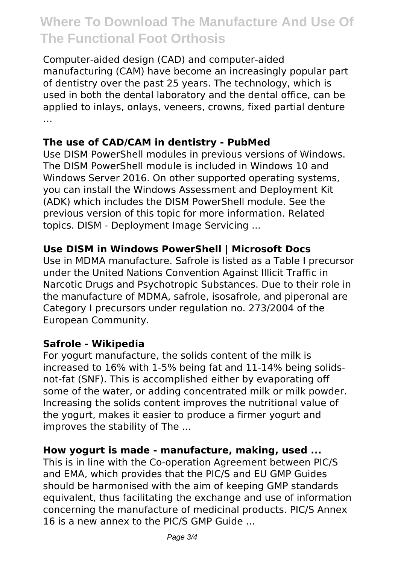## **Where To Download The Manufacture And Use Of The Functional Foot Orthosis**

Computer-aided design (CAD) and computer-aided manufacturing (CAM) have become an increasingly popular part of dentistry over the past 25 years. The technology, which is used in both the dental laboratory and the dental office, can be applied to inlays, onlays, veneers, crowns, fixed partial denture …

### **The use of CAD/CAM in dentistry - PubMed**

Use DISM PowerShell modules in previous versions of Windows. The DISM PowerShell module is included in Windows 10 and Windows Server 2016. On other supported operating systems, you can install the Windows Assessment and Deployment Kit (ADK) which includes the DISM PowerShell module. See the previous version of this topic for more information. Related topics. DISM - Deployment Image Servicing ...

### **Use DISM in Windows PowerShell | Microsoft Docs**

Use in MDMA manufacture. Safrole is listed as a Table I precursor under the United Nations Convention Against Illicit Traffic in Narcotic Drugs and Psychotropic Substances. Due to their role in the manufacture of MDMA, safrole, isosafrole, and piperonal are Category I precursors under regulation no. 273/2004 of the European Community.

#### **Safrole - Wikipedia**

For yogurt manufacture, the solids content of the milk is increased to 16% with 1-5% being fat and 11-14% being solidsnot-fat (SNF). This is accomplished either by evaporating off some of the water, or adding concentrated milk or milk powder. Increasing the solids content improves the nutritional value of the yogurt, makes it easier to produce a firmer yogurt and improves the stability of The ...

#### **How yogurt is made - manufacture, making, used ...**

This is in line with the Co-operation Agreement between PIC/S and EMA, which provides that the PIC/S and EU GMP Guides should be harmonised with the aim of keeping GMP standards equivalent, thus facilitating the exchange and use of information concerning the manufacture of medicinal products. PIC/S Annex 16 is a new annex to the PIC/S GMP Guide ...